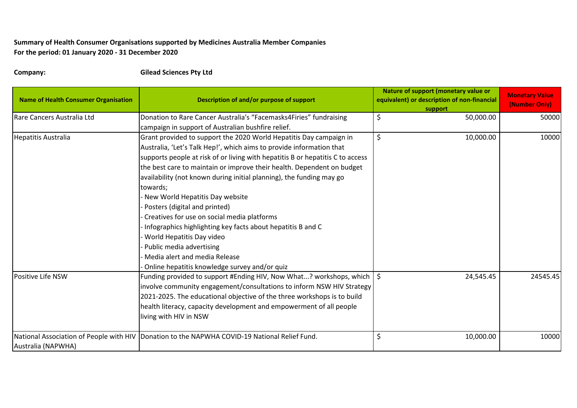## **Summary of Health Consumer Organisations supported by Medicines Australia Member Companies For the period: 01 January 2020 - 31 December 2020**

**Company: Gilead Sciences Pty Ltd**

| <b>Name of Health Consumer Organisation</b> | Description of and/or purpose of support                                                        | Nature of support (monetary value or<br>equivalent) or description of non-financial<br>support | <b>Monetary Value</b><br>(Number Only) |
|---------------------------------------------|-------------------------------------------------------------------------------------------------|------------------------------------------------------------------------------------------------|----------------------------------------|
| Rare Cancers Australia Ltd                  | Donation to Rare Cancer Australia's "Facemasks4Firies" fundraising                              | \$<br>50,000.00                                                                                | 50000                                  |
|                                             | campaign in support of Australian bushfire relief.                                              |                                                                                                |                                        |
| <b>Hepatitis Australia</b>                  | Grant provided to support the 2020 World Hepatitis Day campaign in                              | \$<br>10,000.00                                                                                | 10000                                  |
|                                             | Australia, 'Let's Talk Hep!', which aims to provide information that                            |                                                                                                |                                        |
|                                             | supports people at risk of or living with hepatitis B or hepatitis C to access                  |                                                                                                |                                        |
|                                             | the best care to maintain or improve their health. Dependent on budget                          |                                                                                                |                                        |
|                                             | availability (not known during initial planning), the funding may go                            |                                                                                                |                                        |
|                                             | towards;                                                                                        |                                                                                                |                                        |
|                                             | New World Hepatitis Day website                                                                 |                                                                                                |                                        |
|                                             | Posters (digital and printed)                                                                   |                                                                                                |                                        |
|                                             | Creatives for use on social media platforms                                                     |                                                                                                |                                        |
|                                             | Infographics highlighting key facts about hepatitis B and C                                     |                                                                                                |                                        |
|                                             | World Hepatitis Day video                                                                       |                                                                                                |                                        |
|                                             | Public media advertising                                                                        |                                                                                                |                                        |
|                                             | Media alert and media Release                                                                   |                                                                                                |                                        |
|                                             | Online hepatitis knowledge survey and/or quiz                                                   |                                                                                                |                                        |
| Positive Life NSW                           | Funding provided to support #Ending HIV, Now What? workshops, which   \$                        | 24,545.45                                                                                      | 24545.45                               |
|                                             | involve community engagement/consultations to inform NSW HIV Strategy                           |                                                                                                |                                        |
|                                             | 2021-2025. The educational objective of the three workshops is to build                         |                                                                                                |                                        |
|                                             | health literacy, capacity development and empowerment of all people                             |                                                                                                |                                        |
|                                             | living with HIV in NSW                                                                          |                                                                                                |                                        |
|                                             | National Association of People with HIV   Donation to the NAPWHA COVID-19 National Relief Fund. | \$<br>10,000.00                                                                                | 10000                                  |
| Australia (NAPWHA)                          |                                                                                                 |                                                                                                |                                        |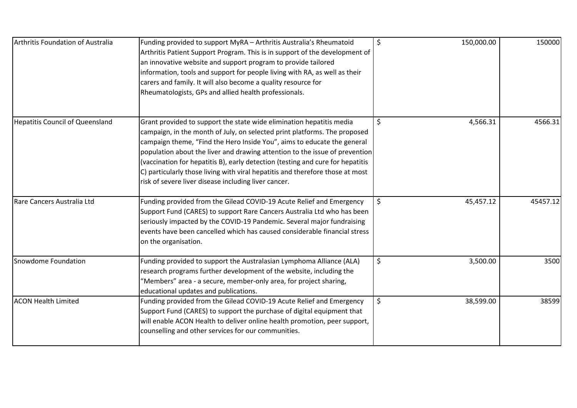| Arthritis Foundation of Australia      | Funding provided to support MyRA - Arthritis Australia's Rheumatoid<br>Arthritis Patient Support Program. This is in support of the development of<br>an innovative website and support program to provide tailored<br>information, tools and support for people living with RA, as well as their<br>carers and family. It will also become a quality resource for<br>Rheumatologists, GPs and allied health professionals.                                                                                                            | \$<br>150,000.00 | 150000   |
|----------------------------------------|----------------------------------------------------------------------------------------------------------------------------------------------------------------------------------------------------------------------------------------------------------------------------------------------------------------------------------------------------------------------------------------------------------------------------------------------------------------------------------------------------------------------------------------|------------------|----------|
| <b>Hepatitis Council of Queensland</b> | Grant provided to support the state wide elimination hepatitis media<br>campaign, in the month of July, on selected print platforms. The proposed<br>campaign theme, "Find the Hero Inside You", aims to educate the general<br>population about the liver and drawing attention to the issue of prevention<br>(vaccination for hepatitis B), early detection (testing and cure for hepatitis<br>C) particularly those living with viral hepatitis and therefore those at most<br>risk of severe liver disease including liver cancer. | \$<br>4,566.31   | 4566.31  |
| Rare Cancers Australia Ltd             | Funding provided from the Gilead COVID-19 Acute Relief and Emergency<br>Support Fund (CARES) to support Rare Cancers Australia Ltd who has been<br>seriously impacted by the COVID-19 Pandemic. Several major fundraising<br>events have been cancelled which has caused considerable financial stress<br>on the organisation.                                                                                                                                                                                                         | \$<br>45,457.12  | 45457.12 |
| Snowdome Foundation                    | Funding provided to support the Australasian Lymphoma Alliance (ALA)<br>research programs further development of the website, including the<br>"Members" area - a secure, member-only area, for project sharing,<br>educational updates and publications.                                                                                                                                                                                                                                                                              | \$<br>3,500.00   | 3500     |
| <b>ACON Health Limited</b>             | Funding provided from the Gilead COVID-19 Acute Relief and Emergency<br>Support Fund (CARES) to support the purchase of digital equipment that<br>will enable ACON Health to deliver online health promotion, peer support,<br>counselling and other services for our communities.                                                                                                                                                                                                                                                     | \$<br>38,599.00  | 38599    |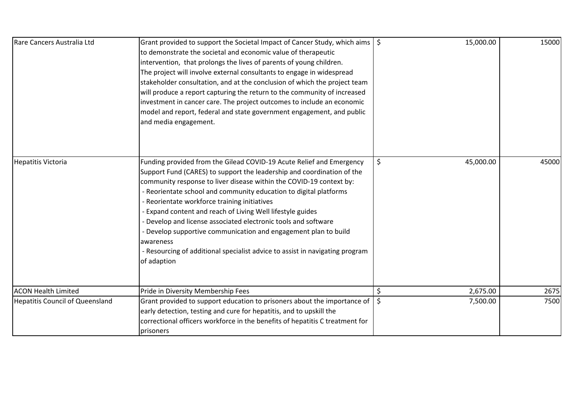| Rare Cancers Australia Ltd             | Grant provided to support the Societal Impact of Cancer Study, which aims   \$<br>to demonstrate the societal and economic value of therapeutic<br>intervention, that prolongs the lives of parents of young children.<br>The project will involve external consultants to engage in widespread<br>stakeholder consultation, and at the conclusion of which the project team<br>will produce a report capturing the return to the community of increased<br>investment in cancer care. The project outcomes to include an economic<br>model and report, federal and state government engagement, and public<br>and media engagement.                      |         | 15,000.00 | 15000 |
|----------------------------------------|-----------------------------------------------------------------------------------------------------------------------------------------------------------------------------------------------------------------------------------------------------------------------------------------------------------------------------------------------------------------------------------------------------------------------------------------------------------------------------------------------------------------------------------------------------------------------------------------------------------------------------------------------------------|---------|-----------|-------|
| <b>Hepatitis Victoria</b>              | Funding provided from the Gilead COVID-19 Acute Relief and Emergency<br>Support Fund (CARES) to support the leadership and coordination of the<br>community response to liver disease within the COVID-19 context by:<br>- Reorientate school and community education to digital platforms<br>- Reorientate workforce training initiatives<br>- Expand content and reach of Living Well lifestyle guides<br>- Develop and license associated electronic tools and software<br>- Develop supportive communication and engagement plan to build<br>awareness<br>- Resourcing of additional specialist advice to assist in navigating program<br>of adaption | \$      | 45,000.00 | 45000 |
| <b>ACON Health Limited</b>             | Pride in Diversity Membership Fees                                                                                                                                                                                                                                                                                                                                                                                                                                                                                                                                                                                                                        | \$      | 2,675.00  | 2675  |
| <b>Hepatitis Council of Queensland</b> | Grant provided to support education to prisoners about the importance of<br>early detection, testing and cure for hepatitis, and to upskill the<br>correctional officers workforce in the benefits of hepatitis C treatment for<br>prisoners                                                                                                                                                                                                                                                                                                                                                                                                              | $\zeta$ | 7,500.00  | 7500  |